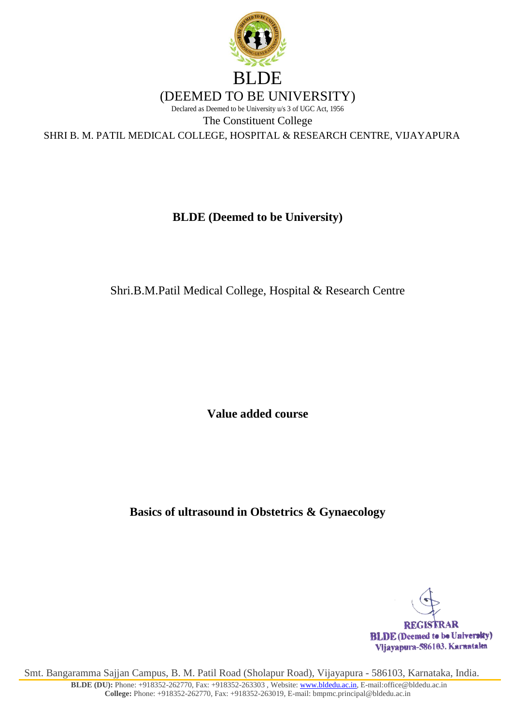

# **BLDE (Deemed to be University)**

Shri.B.M.Patil Medical College, Hospital & Research Centre

**Value added course**

**Basics of ultrasound in Obstetrics & Gynaecology**

**REGISTRAR BLDE** (Deemed to be University) Vljavapura-586103. Karnataka

Smt. Bangaramma Sajjan Campus, B. M. Patil Road (Sholapur Road), Vijayapura - 586103, Karnataka, India.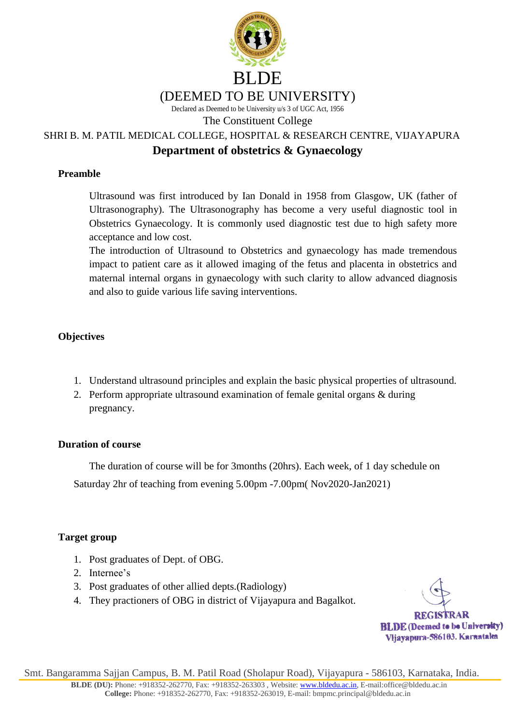

Declared as Deemed to be University u/s 3 of UGC Act, 1956

The Constituent College

SHRI B. M. PATIL MEDICAL COLLEGE, HOSPITAL & RESEARCH CENTRE, VIJAYAPURA

## **Department of obstetrics & Gynaecology**

#### **Preamble**

Ultrasound was first introduced by Ian Donald in 1958 from Glasgow, UK (father of Ultrasonography). The Ultrasonography has become a very useful diagnostic tool in Obstetrics Gynaecology. It is commonly used diagnostic test due to high safety more acceptance and low cost.

The introduction of Ultrasound to Obstetrics and gynaecology has made tremendous impact to patient care as it allowed imaging of the fetus and placenta in obstetrics and maternal internal organs in gynaecology with such clarity to allow advanced diagnosis and also to guide various life saving interventions.

## **Objectives**

- 1. Understand ultrasound principles and explain the basic physical properties of ultrasound.
- 2. Perform appropriate ultrasound examination of female genital organs & during pregnancy.

## **Duration of course**

The duration of course will be for 3months (20hrs). Each week, of 1 day schedule on Saturday 2hr of teaching from evening 5.00pm -7.00pm( Nov2020-Jan2021)

## **Target group**

- 1. Post graduates of Dept. of OBG.
- 2. Internee's
- 3. Post graduates of other allied depts.(Radiology)
- 4. They practioners of OBG in district of Vijayapura and Bagalkot.

**REGISTRAR BLDE** (Deemed to be University) Vljavapura-586103. Karnataka

Smt. Bangaramma Sajjan Campus, B. M. Patil Road (Sholapur Road), Vijayapura - 586103, Karnataka, India.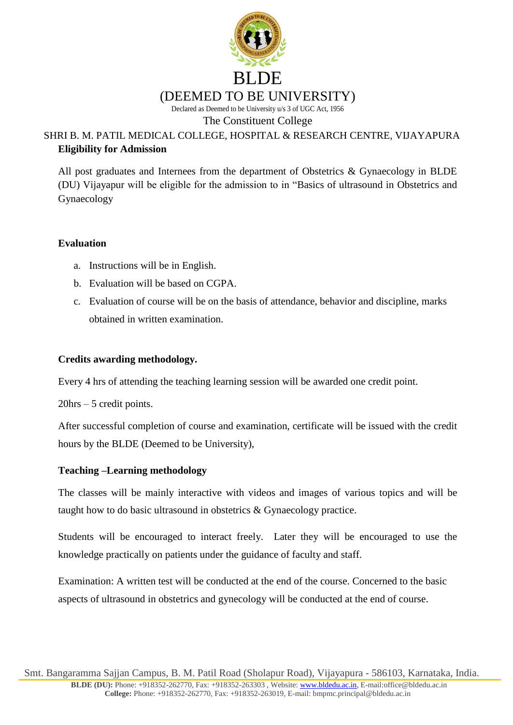

# SHRI B. M. PATIL MEDICAL COLLEGE, HOSPITAL & RESEARCH CENTRE, VIJAYAPURA **Eligibility for Admission**

All post graduates and Internees from the department of Obstetrics & Gynaecology in BLDE (DU) Vijayapur will be eligible for the admission to in "Basics of ultrasound in Obstetrics and Gynaecology

#### **Evaluation**

- a. Instructions will be in English.
- b. Evaluation will be based on CGPA.
- c. Evaluation of course will be on the basis of attendance, behavior and discipline, marks obtained in written examination.

#### **Credits awarding methodology.**

Every 4 hrs of attending the teaching learning session will be awarded one credit point.

20hrs – 5 credit points.

After successful completion of course and examination, certificate will be issued with the credit hours by the BLDE (Deemed to be University),

#### **Teaching –Learning methodology**

The classes will be mainly interactive with videos and images of various topics and will be taught how to do basic ultrasound in obstetrics & Gynaecology practice.

Students will be encouraged to interact freely. Later they will be encouraged to use the knowledge practically on patients under the guidance of faculty and staff.

Examination: A written test will be conducted at the end of the course. Concerned to the basic aspects of ultrasound in obstetrics and gynecology will be conducted at the end of course.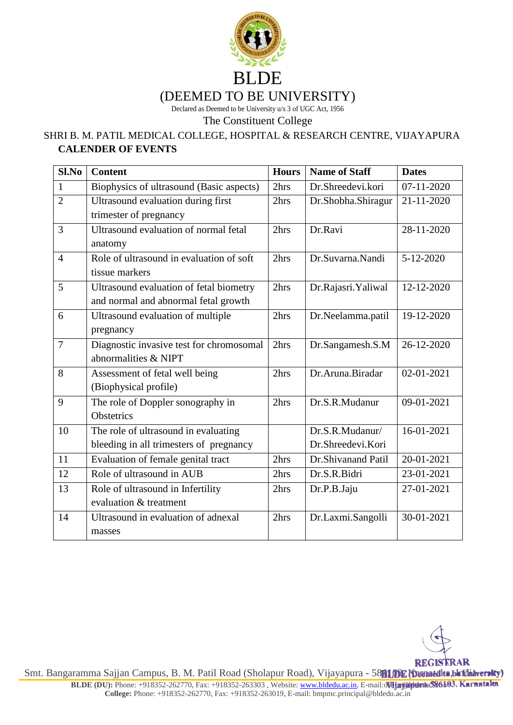

# (DEEMED TO BE UNIVERSITY)

Declared as Deemed to be University u/s 3 of UGC Act, 1956

The Constituent College

## SHRI B. M. PATIL MEDICAL COLLEGE, HOSPITAL & RESEARCH CENTRE, VIJAYAPURA **CALENDER OF EVENTS**

| Sl.No          | <b>Content</b>                           | <b>Hours</b> | <b>Name of Staff</b> | <b>Dates</b> |
|----------------|------------------------------------------|--------------|----------------------|--------------|
| $\mathbf{1}$   | Biophysics of ultrasound (Basic aspects) | 2hrs         | Dr.Shreedevi.kori    | $07-11-2020$ |
| $\overline{2}$ | Ultrasound evaluation during first       | 2hrs         | Dr.Shobha.Shiragur   | 21-11-2020   |
|                | trimester of pregnancy                   |              |                      |              |
| 3              | Ultrasound evaluation of normal fetal    | 2hrs         | Dr.Ravi              | 28-11-2020   |
|                | anatomy                                  |              |                      |              |
| $\overline{4}$ | Role of ultrasound in evaluation of soft | 2hrs         | Dr.Suvarna.Nandi     | 5-12-2020    |
|                | tissue markers                           |              |                      |              |
| 5              | Ultrasound evaluation of fetal biometry  | 2hrs         | Dr.Rajasri.Yaliwal   | 12-12-2020   |
|                | and normal and abnormal fetal growth     |              |                      |              |
| 6              | Ultrasound evaluation of multiple        | 2hrs         | Dr.Neelamma.patil    | 19-12-2020   |
|                | pregnancy                                |              |                      |              |
| $\overline{7}$ | Diagnostic invasive test for chromosomal | 2hrs         | Dr.Sangamesh.S.M     | 26-12-2020   |
|                | abnormalities & NIPT                     |              |                      |              |
| 8              | Assessment of fetal well being           | 2hrs         | Dr.Aruna.Biradar     | 02-01-2021   |
|                | (Biophysical profile)                    |              |                      |              |
| 9              | The role of Doppler sonography in        | 2hrs         | Dr.S.R.Mudanur       | 09-01-2021   |
|                | Obstetrics                               |              |                      |              |
| 10             | The role of ultrasound in evaluating     |              | Dr.S.R.Mudanur/      | 16-01-2021   |
|                | bleeding in all trimesters of pregnancy  |              | Dr.Shreedevi.Kori    |              |
| 11             | Evaluation of female genital tract       | 2hrs         | Dr.Shivanand Patil   | 20-01-2021   |
| 12             | Role of ultrasound in AUB                | 2hrs         | Dr.S.R.Bidri         | 23-01-2021   |
| 13             | Role of ultrasound in Infertility        | 2hrs         | Dr.P.B.Jaju          | 27-01-2021   |
|                | evaluation & treatment                   |              |                      |              |
| 14             | Ultrasound in evaluation of adnexal      | 2hrs         | Dr.Laxmi.Sangolli    | 30-01-2021   |
|                | masses                                   |              |                      |              |

**REGISTRAR** Smt. Bangaramma Sajjan Campus, B. M. Patil Road (Sholapur Road), Vijayapura - 5881032 Khannedka, baidaiwersky)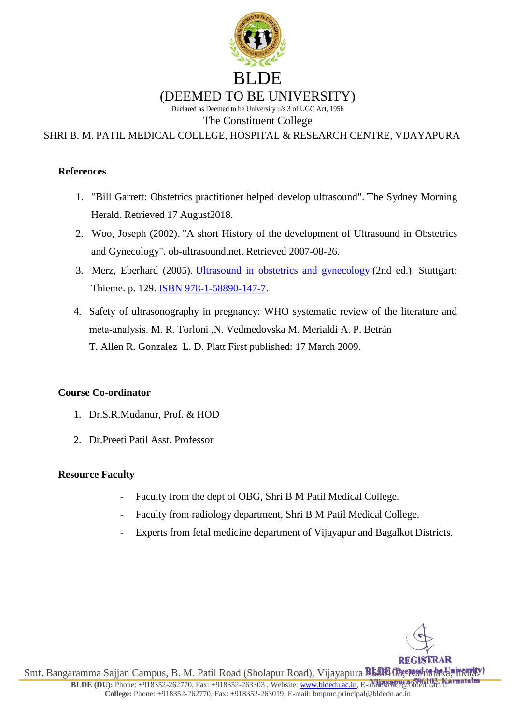

SHRI B. M. PATIL MEDICAL COLLEGE, HOSPITAL & RESEARCH CENTRE, VIJAYAPURA

#### **References**

- 1. ["Bill Garrett: Obstetrics practitioner helped develop ultrasound".](https://www.smh.com.au/national/bill-garrett-obstetrics-practitioner-helped-develop-ultrasound-20151210-gljyrn.html) The Sydney Morning Herald. Retrieved 17 August2018.
- 2. Woo, Joseph (2002). ["A short History of the development of Ultrasound in Obstetrics](http://www.ob-ultrasound.net/history1.html)  [and Gynecology".](http://www.ob-ultrasound.net/history1.html) ob-ultrasound.net. Retrieved 2007-08-26.
- 3. Merz, Eberhard (2005). [Ultrasound in obstetrics and gynecology](https://books.google.com/?id=eeLAOyt71w4C&pg=PA129&dq=fetal+sex+determination+accuracy+ultrasound+clinical#v=onepage&q=fetal%20sex%20determination%20accuracy%20ultrasound%20clinical&f=false) (2nd ed.). Stuttgart: Thieme. p. 129. [ISBN](https://en.wikipedia.org/wiki/ISBN_(identifier)) [978-1-58890-147-7.](https://en.wikipedia.org/wiki/Special:BookSources/978-1-58890-147-7)
- 4. Safety of ultrasonography in pregnancy: WHO systematic review of the literature and meta‐analysis. [M. R. Torloni](https://obgyn.onlinelibrary.wiley.com/action/doSearch?ContribAuthorStored=Torloni%2C+M+R) [,N. Vedmedovska](https://obgyn.onlinelibrary.wiley.com/action/doSearch?ContribAuthorStored=Vedmedovska%2C+N) [M. Merialdi](https://obgyn.onlinelibrary.wiley.com/action/doSearch?ContribAuthorStored=Merialdi%2C+M) [A. P. Betrán](https://obgyn.onlinelibrary.wiley.com/action/doSearch?ContribAuthorStored=Betr%C3%A1n%2C+A+P)  [T. Allen](https://obgyn.onlinelibrary.wiley.com/action/doSearch?ContribAuthorStored=Allen%2C+T) [R. Gonzalez](https://obgyn.onlinelibrary.wiley.com/action/doSearch?ContribAuthorStored=Gonz%C3%A1lez%2C+R) [L. D. Platt](https://obgyn.onlinelibrary.wiley.com/action/doSearch?ContribAuthorStored=Platt%2C+L+D) First published: 17 March 2009.

#### **Course Co-ordinator**

- 1. Dr.S.R.Mudanur, Prof. & HOD
- 2. Dr.Preeti Patil Asst. Professor

#### **Resource Faculty**

- Faculty from the dept of OBG, Shri B M Patil Medical College.
- Faculty from radiology department, Shri B M Patil Medical College.
- Experts from fetal medicine department of Vijayapur and Bagalkot Districts.

Smt. Bangaramma Sajjan Campus, B. M. Patil Road (Sholapur Road), Vijayapura **B588103; Radialaka, India.**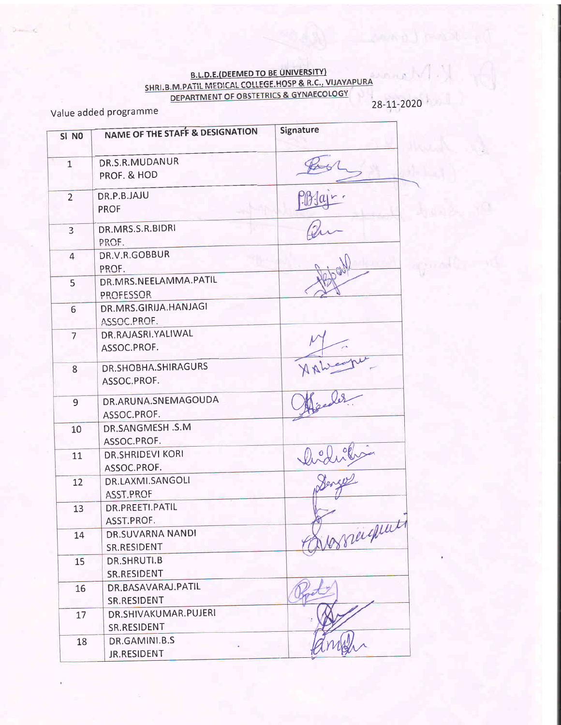# B.L.D.E.(DEEMED TO BE UNIVERSITY)<br>SHRI.B.M.PATIL MEDICAL COLLEGE.HOSP & R.C., VIJAYAPURA<br>DEPARTMENT OF OBSTETRICS & GYNAECOLOGY

Value added programme

28-11-2020

| SI <sub>NO</sub> | <b>NAME OF THE STAFF &amp; DESIGNATION</b> | Signature |
|------------------|--------------------------------------------|-----------|
| $\mathbf{1}$     | DR.S.R.MUDANUR<br>PROF. & HOD              |           |
| $\overline{2}$   | DR.P.B.JAJU<br><b>PROF</b>                 |           |
| 3                | DR.MRS.S.R.BIDRI<br>PROF.                  |           |
| $\overline{4}$   | DR.V.R.GOBBUR<br>PROF.                     |           |
| 5                | DR.MRS.NEELAMMA.PATIL<br><b>PROFESSOR</b>  |           |
| $6 \overline{6}$ | DR.MRS.GIRIJA.HANJAGI<br>ASSOC.PROF.       |           |
| $\overline{7}$   | DR.RAJASRI.YALIWAL<br>ASSOC.PROF.          |           |
| 8                | DR.SHOBHA.SHIRAGURS<br>ASSOC.PROF.         |           |
| 9                | DR.ARUNA.SNEMAGOUDA<br>ASSOC.PROF.         |           |
| 10               | DR.SANGMESH .S.M<br>ASSOC.PROF.            |           |
| 11               | <b>DR.SHRIDEVI KORI</b><br>ASSOC.PROF.     |           |
| 12               | DR.LAXMI.SANGOLI<br>ASST.PROF              |           |
| 13               | DR.PREETI.PATIL<br>ASST.PROF.              |           |
| 14               | DR.SUVARNA NANDI<br>SR.RESIDENT            | essigna   |
| 15               | DR.SHRUTI.B<br>SR.RESIDENT                 |           |
| 16               | DR.BASAVARAJ.PATIL<br><b>SR.RESIDENT</b>   |           |
| 17               | DR.SHIVAKUMAR.PUJERI<br>SR.RESIDENT        |           |
| 18               | DR.GAMINI.B.S<br>JR.RESIDENT               |           |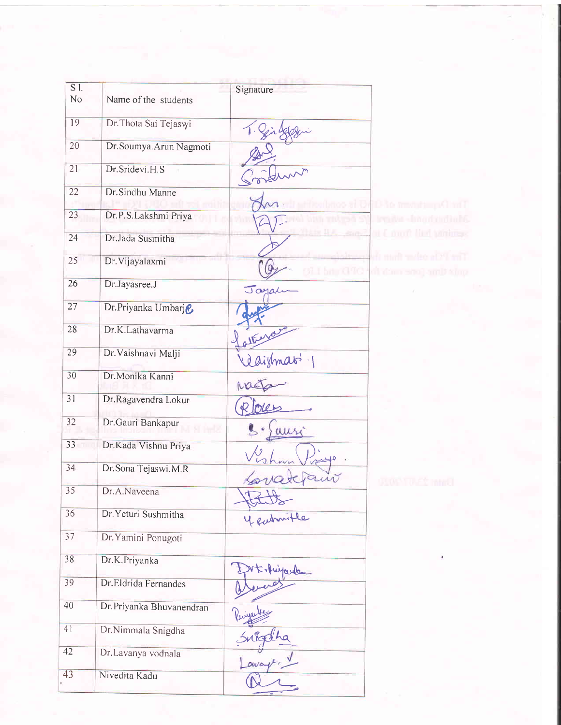| $\overline{S}$ l. |                           | Signature    |                                                |
|-------------------|---------------------------|--------------|------------------------------------------------|
| No                | Name of the students      |              |                                                |
| 19                | Dr. Thota Sai Tejaswi     |              |                                                |
| 20                | Dr. Soumya. Arun Nagmoti  |              |                                                |
| 21                | Dr.Sridevi.H.S            |              |                                                |
| $\overline{22}$   | Dr. Sindhu Manne          |              | Die monten Am T                                |
| 23                | Dr.P.S.Lakshmi Priya      |              | imaka-lingifandlah?                            |
| 24                | Dr.Jada Susmitha          |              | it I must had partners                         |
| 25                | Dr. Vijayalaxmi           | <b>A-390</b> | fi malt males a Marti<br>of dam small and simp |
| 26                | Dr.Jayasree.J             | Jayah        |                                                |
| 27                | Dr.Priyanka Umbarje       |              |                                                |
| 28                | Dr.K.Lathavarma           |              |                                                |
| 29                | Dr. Vaishnavi Malji       | réaismas 1   |                                                |
| 30                | Dr.Monika Kanni           |              |                                                |
| 31                | Dr.Ragavendra Lokur       |              |                                                |
| 32                | Dr.Gauri Bankapur         | ausi         |                                                |
| $33 -$            | Dr.Kada Vishnu Priya      |              |                                                |
| 34                | Dr. Sona Tejaswi.M.R      |              | 有限行政工作                                         |
| 35                | Dr.A.Naveena              |              |                                                |
| 36                | Dr. Yeturi Sushmitha      | 4 eubourtle  |                                                |
| 37                | Dr. Yamini Ponugoti       |              |                                                |
| 38                | Dr.K.Priyanka             | Ehiparde     |                                                |
| 39                | Dr.Eldrida Fernandes      |              |                                                |
| 40                | Dr. Priyanka Bhuvanendran |              |                                                |
| 41                | Dr.Nimmala Snigdha        | nrq:         |                                                |
| 42                | Dr.Lavanya vodnala        |              |                                                |
| 43                | Nivedita Kadu             |              |                                                |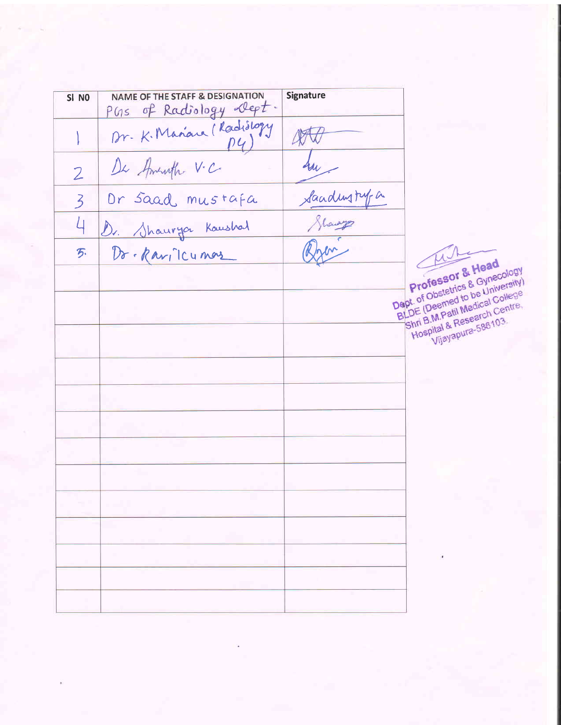**NAME OF THE STAFF & DESIGNATION Signature** SI NO PGs of Radiology Dept. Dr. K. Manau (Radislogy 400 Sur- $\overline{2}$ Sanding type Or saad mustafa  $\overline{3}$ Dr. Shauryor Kaushal 4 Dr. Ravillumor 万. Professor & Head Dept. of Obstetrics & Gynecology BLDE (Deemed to be University) Hospital & Research Centre, Vijayapura-586103.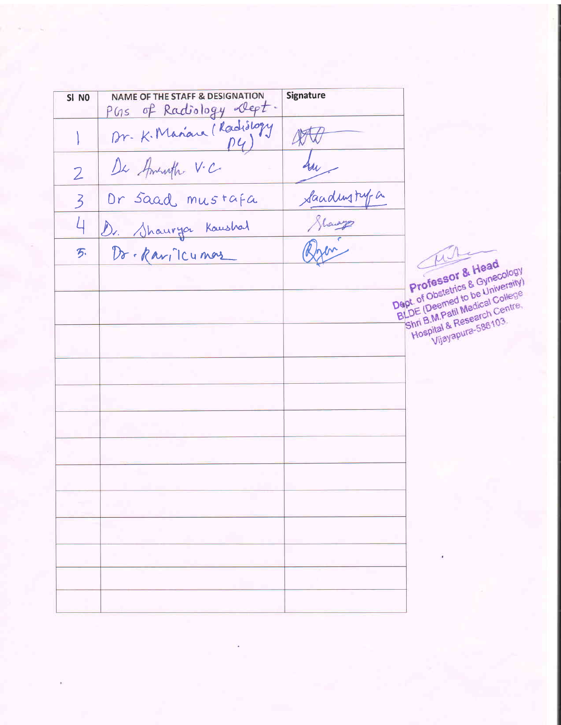**NAME OF THE STAFF & DESIGNATION Signature** SI NO PGs of Radiology Dept. Dr. K. Marian (Radislogy  $\mathbb{R}$ Sur - $\overline{2}$ Sandingty a Or saad mustafa  $\overline{3}$ 4 Dr. Shaurya Kaushal Dr. Ravillumore 万.

Professor & Head Dept. of Obstetrics & Gynecology BLDE (Deemed to be University) Shri B.M.Patil Medical College Hospital & Research Centre. Vijayapura-586103.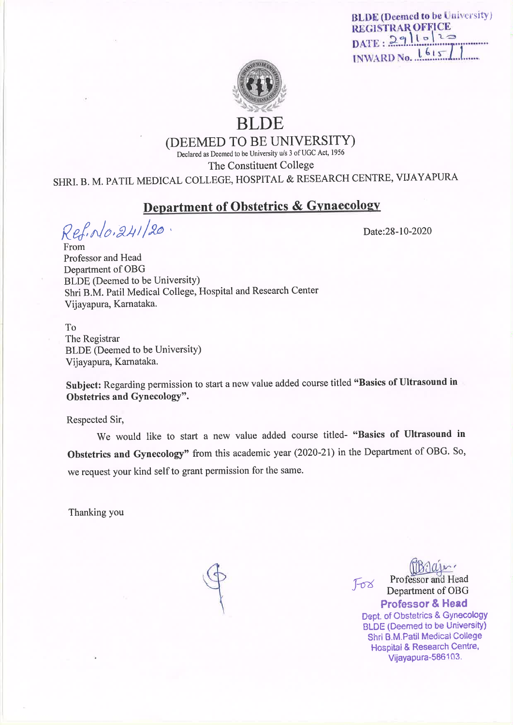**BLDE** (Deemed to be University) **REGISTRAR OFFICE**  $DATE: 2911522$ INWARD No. 1615



RI DE

(DEEMED TO BE UNIVERSITY)

Declared as Deemed to be University u/s 3 of UGC Act, 1956

The Constituent College

SHRI. B. M. PATIL MEDICAL COLLEGE, HOSPITAL & RESEARCH CENTRE, VIJAYAPURA

# **Department of Obstetrics & Gynaecology**

Ref. No. 241/20.

Date:28-10-2020

From Professor and Head Department of OBG BLDE (Deemed to be University) Shri B.M. Patil Medical College, Hospital and Research Center Vijayapura, Karnataka.

T<sub>0</sub> The Registrar **BLDE** (Deemed to be University) Vijayapura, Karnataka.

Subject: Regarding permission to start a new value added course titled "Basics of Ultrasound in Obstetrics and Gynecology".

Respected Sir,

We would like to start a new value added course titled- "Basics of Ultrasound in Obstetrics and Gynecology" from this academic year (2020-21) in the Department of OBG. So, we request your kind self to grant permission for the same.

Thanking you

Professor and Head  $F\sigma\alpha$ Department of OBG **Professor & Head** 

Dept. of Obstetrics & Gynecology **BLDE (Deemed to be University)** Shri B.M.Patil Medical College Hospital & Research Centre, Vijavapura-586103.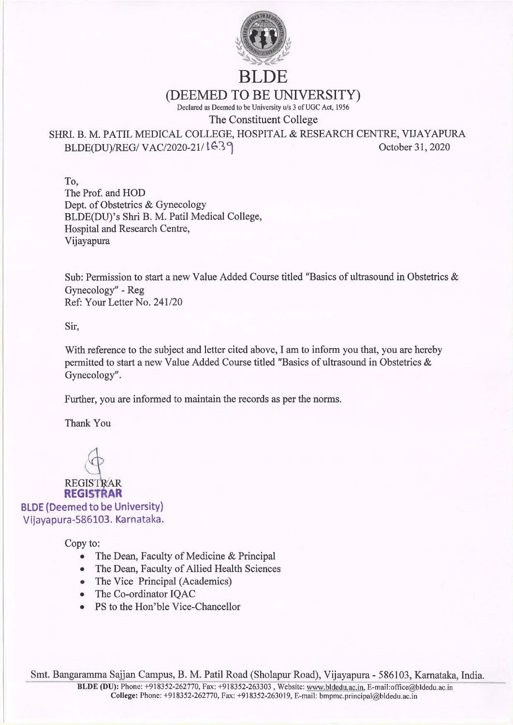

# **BLDE**

(DEEMED TO BE UNIVERSITY)

Declared as Deemed to be University u/s 3 of UGC Act, 1956

The Constituent College

SHRI. B. M. PATIL MEDICAL COLLEGE, HOSPITAL & RESEARCH CENTRE, VIJAYAPURA BLDE(DU)/REG/VAC/2020-21/1639 October 31, 2020

To. The Prof. and HOD Dept. of Obstetrics & Gynecology BLDE(DU)'s Shri B. M. Patil Medical College, Hospital and Research Centre, Vijayapura

Sub: Permission to start a new Value Added Course titled "Basics of ultrasound in Obstetrics & Gynecology" - Reg Ref: Your Letter No. 241/20

Sir,

With reference to the subject and letter cited above, I am to inform you that, you are hereby permitted to start a new Value Added Course titled "Basics of ultrasound in Obstetrics & Gynecology".

Further, you are informed to maintain the records as per the norms.

Thank You

**REGISTRAR** 

**REGISTRAR BLDE (Deemed to be University)** Vijayapura-586103. Karnataka.

Copy to:

- The Dean, Faculty of Medicine & Principal  $\bullet$
- The Dean, Faculty of Allied Health Sciences
- The Vice Principal (Academics)
- The Co-ordinator IQAC
- PS to the Hon'ble Vice-Chancellor  $\bullet$

Smt. Bangaramma Sajjan Campus, B. M. Patil Road (Sholapur Road), Vijayapura - 586103, Karnataka, India.